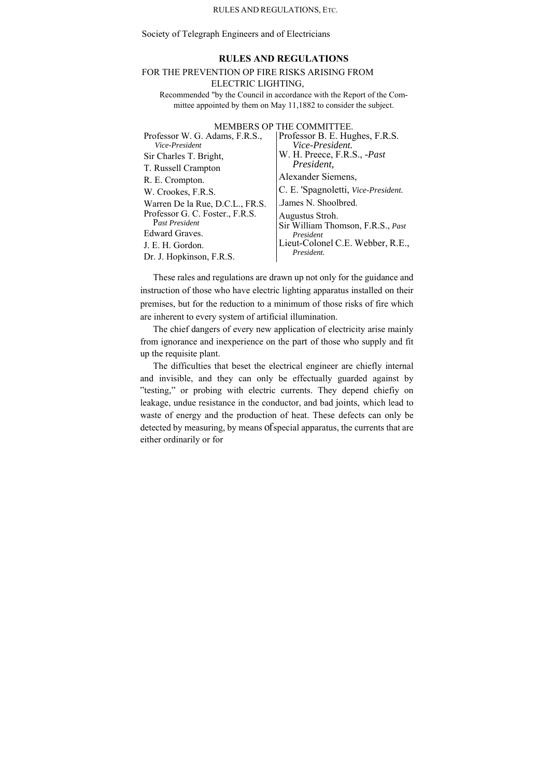#### RULES AND REGULATIONS, ETC.

Society of Telegraph Engineers and of Electricians

# **RULES AND REGULATIONS**

## FOR THE PREVENTION OP FIRE RISKS ARISING FROM ELECTRIC LIGHTING,

Recommended "by the Council in accordance with the Report of the Committee appointed by them on May 11,1882 to consider the subject.

## MEMBERS OP THE COMMITTEE.

| Professor W. G. Adams, F.R.S.,  | Professor B. E. Hughes, F.R.S.      |
|---------------------------------|-------------------------------------|
| Vice-President                  | Vice-President.                     |
| Sir Charles T. Bright,          | W. H. Preece, F.R.S., <i>-Past</i>  |
| T. Russell Crampton             | President,                          |
| R. E. Crompton.                 | Alexander Siemens,                  |
| W. Crookes, F.R.S.              | C. E. 'Spagnoletti, Vice-President. |
| Warren De la Rue, D.C.L., FR.S. | James N. Shoolbred.                 |
| Professor G. C. Foster., F.R.S. | Augustus Stroh.                     |
| Past President                  | Sir William Thomson, F.R.S., Past   |
| Edward Graves.                  | President                           |
| J. E. H. Gordon.                | Lieut-Colonel C.E. Webber, R.E.,    |
| Dr. J. Hopkinson, F.R.S.        | President.                          |

These rales and regulations are drawn up not only for the guidance and instruction of those who have electric lighting apparatus installed on their premises, but for the reduction to a minimum of those risks of fire which are inherent to every system of artificial illumination.

The chief dangers of every new application of electricity arise mainly from ignorance and inexperience on the part of those who supply and fit up the requisite plant.

The difficulties that beset the electrical engineer are chiefly internal and invisible, and they can only be effectually guarded against by "testing," or probing with electric currents. They depend chiefiy on leakage, undue resistance in the conductor, and bad joints, which lead to waste of energy and the production of heat. These defects can only be detected by measuring, by means of special apparatus, the currents that are either ordinarily or for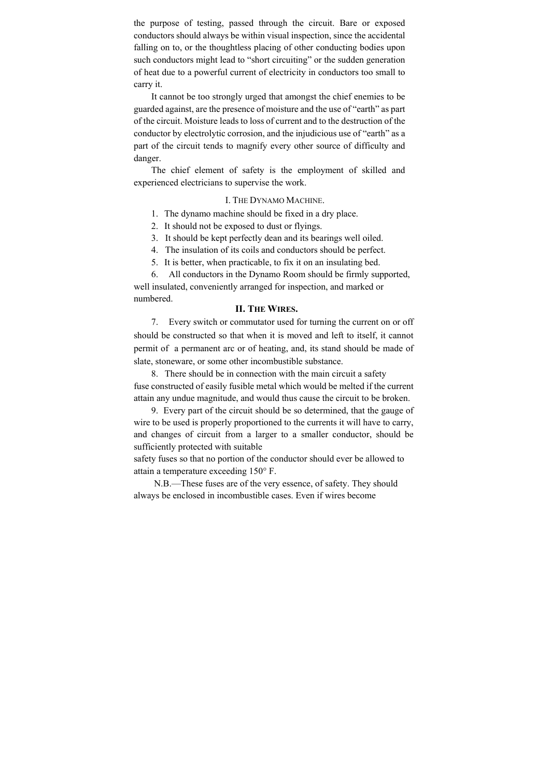the purpose of testing, passed through the circuit. Bare or exposed conductors should always be within visual inspection, since the accidental falling on to, or the thoughtless placing of other conducting bodies upon such conductors might lead to "short circuiting" or the sudden generation of heat due to a powerful current of electricity in conductors too small to carry it.

It cannot be too strongly urged that amongst the chief enemies to be guarded against, are the presence of moisture and the use of "earth" as part of the circuit. Moisture leads to loss of current and to the destruction of the conductor by electrolytic corrosion, and the injudicious use of "earth" as a part of the circuit tends to magnify every other source of difficulty and danger.

The chief element of safety is the employment of skilled and experienced electricians to supervise the work.

#### I. THE DYNAMO MACHINE.

- 1. The dynamo machine should be fixed in a dry place.
- 2. It should not be exposed to dust or flyings.
- 3. It should be kept perfectly dean and its bearings well oiled.
- 4. The insulation of its coils and conductors should be perfect.
- 5. It is better, when practicable, to fix it on an insulating bed.

6. All conductors in the Dynamo Room should be firmly supported, well insulated, conveniently arranged for inspection, and marked or numbered.

## **II. THE WIRES.**

7. Every switch or commutator used for turning the current on or off should be constructed so that when it is moved and left to itself, it cannot permit of a permanent arc or of heating, and, its stand should be made of slate, stoneware, or some other incombustible substance.

8. There should be in connection with the main circuit a safety fuse constructed of easily fusible metal which would be melted if the current attain any undue magnitude, and would thus cause the circuit to be broken.

9. Every part of the circuit should be so determined, that the gauge of wire to be used is properly proportioned to the currents it will have to carry, and changes of circuit from a larger to a smaller conductor, should be sufficiently protected with suitable

safety fuses so that no portion of the conductor should ever be allowed to attain a temperature exceeding 150° F.

N.B.—These fuses are of the very essence, of safety. They should always be enclosed in incombustible cases. Even if wires become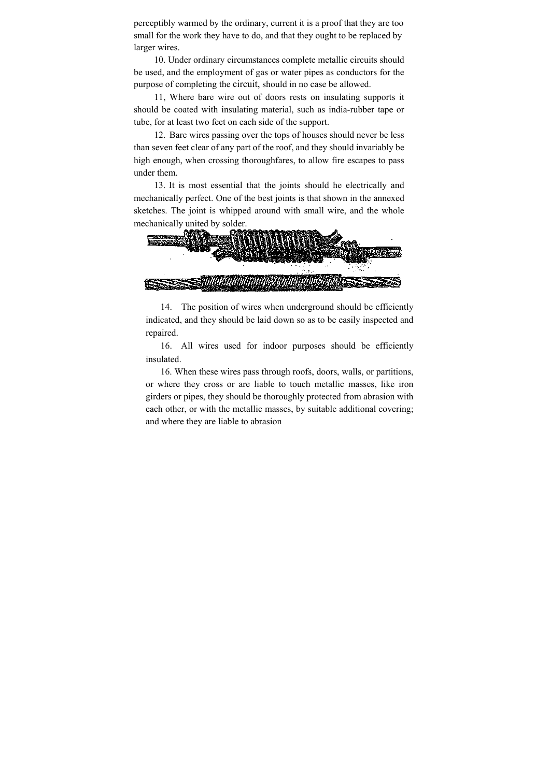perceptibly warmed by the ordinary, current it is a proof that they are too small for the work they have to do, and that they ought to be replaced by larger wires.

10. Under ordinary circumstances complete metallic circuits should be used, and the employment of gas or water pipes as conductors for the purpose of completing the circuit, should in no case be allowed.

11, Where bare wire out of doors rests on insulating supports it should be coated with insulating material, such as india-rubber tape or tube, for at least two feet on each side of the support.

12. Bare wires passing over the tops of houses should never be less than seven feet clear of any part of the roof, and they should invariably be high enough, when crossing thoroughfares, to allow fire escapes to pass under them.

13. It is most essential that the joints should he electrically and mechanically perfect. One of the best joints is that shown in the annexed sketches. The joint is whipped around with small wire, and the whole mechanically united by solder.



14. The position of wires when underground should be efficiently indicated, and they should be laid down so as to be easily inspected and repaired.

16. All wires used for indoor purposes should be efficiently insulated.

16. When these wires pass through roofs, doors, walls, or partitions, or where they cross or are liable to touch metallic masses, like iron girders or pipes, they should be thoroughly protected from abrasion with each other, or with the metallic masses, by suitable additional covering; and where they are liable to abrasion